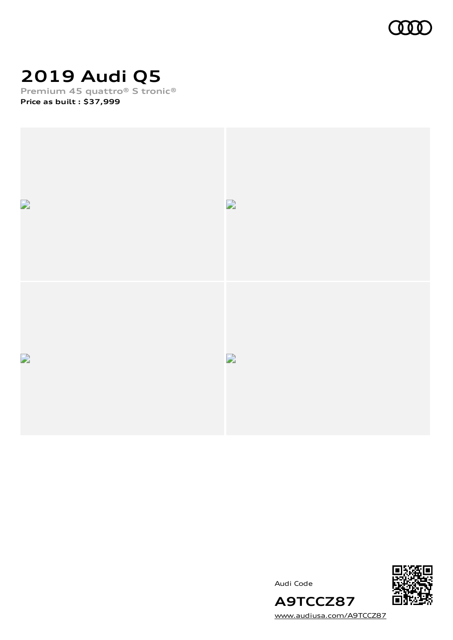

# **2019 Audi Q5**

**Premium 45 quattro® S tronic® Price as built [:](#page-11-0) \$37,999**



Audi Code



[www.audiusa.com/A9TCCZ87](https://www.audiusa.com/A9TCCZ87)

**A9TCCZ87**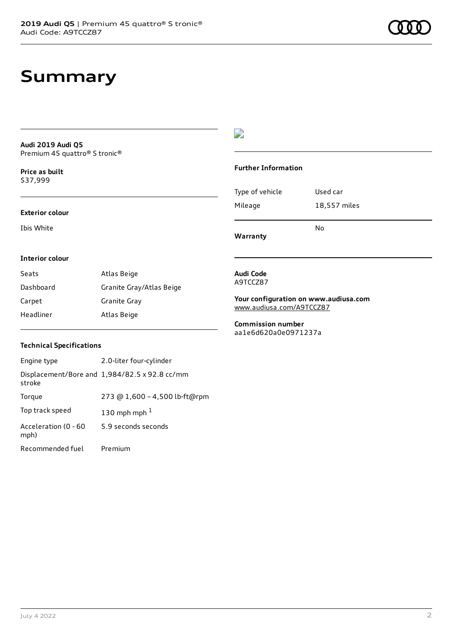# **Summary**

**Audi 2019 Audi Q5** Premium 45 quattro® S tronic®

**Price as buil[t](#page-11-0)** \$37,999

### **Exterior colour**

Ibis White

### $\overline{\phantom{a}}$

### **Further Information**

Type of vehicle Used car Mileage 18,557 miles No

**Warranty**

### **Interior colour**

| Seats     | Atlas Beige              |
|-----------|--------------------------|
| Dashboard | Granite Gray/Atlas Beige |
| Carpet    | Granite Gray             |
| Headliner | Atlas Beige              |

#### **Audi Code** A9TCCZ87

**Your configuration on www.audiusa.com** [www.audiusa.com/A9TCCZ87](https://www.audiusa.com/A9TCCZ87)

**Commission number** aa1e6d620a0e0971237a

### **Technical Specifications**

| Engine type                  | 2.0-liter four-cylinder                       |
|------------------------------|-----------------------------------------------|
| stroke                       | Displacement/Bore and 1,984/82.5 x 92.8 cc/mm |
| Torque                       | 273 @ 1,600 - 4,500 lb-ft@rpm                 |
| Top track speed              | 130 mph mph $1$                               |
| Acceleration (0 - 60<br>mph) | 5.9 seconds seconds                           |
| Recommended fuel             | Premium                                       |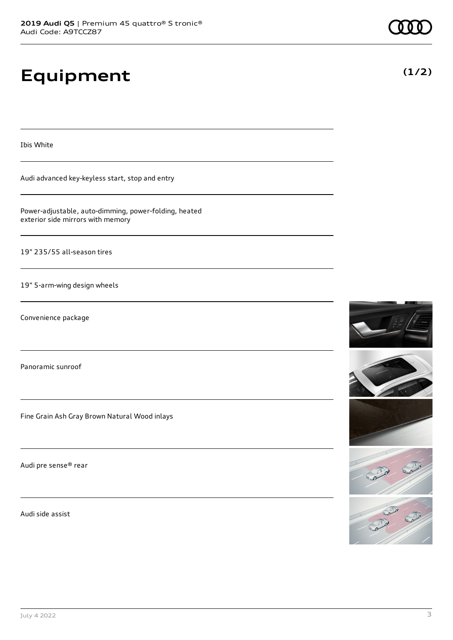# **Equipment**

Ibis White

Audi advanced key-keyless start, stop and entry

Power-adjustable, auto-dimming, power-folding, heated exterior side mirrors with memory

19" 235/55 all-season tires

19" 5-arm-wing design wheels

Convenience package

Panoramic sunroof

Fine Grain Ash Gray Brown Natural Wood inlays

Audi pre sense® rear

Audi side assist









**(1/2)**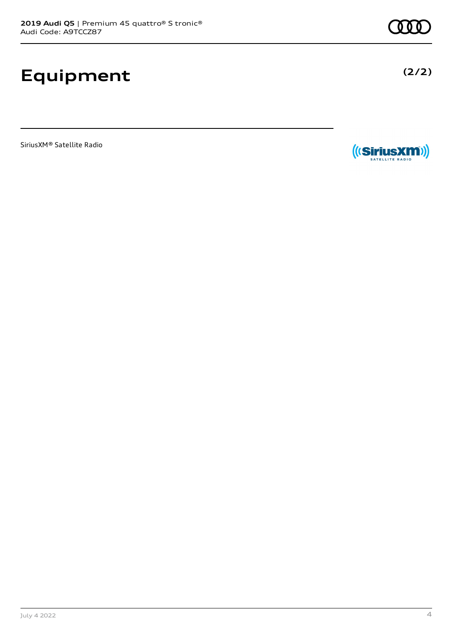# **Equipment**

SiriusXM® Satellite Radio



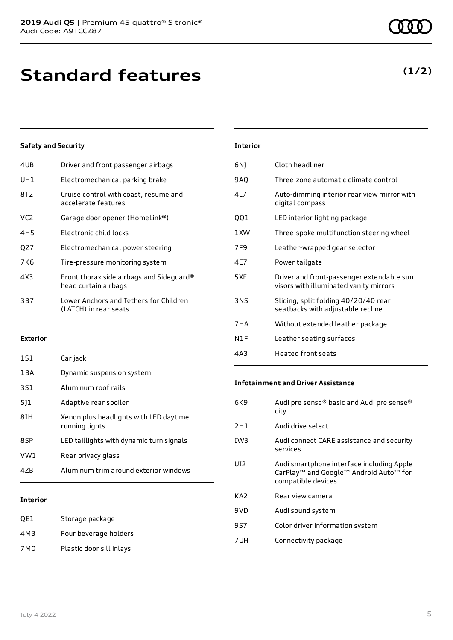**Standard features**

### **Safety and Security**

| 4UB | Driver and front passenger airbags                               |
|-----|------------------------------------------------------------------|
| UH1 | Electromechanical parking brake                                  |
| 8T2 | Cruise control with coast, resume and<br>accelerate features     |
| VC2 | Garage door opener (HomeLink®)                                   |
| 4H5 | Electronic child locks                                           |
| QZ7 | Electromechanical power steering                                 |
| 7K6 | Tire-pressure monitoring system                                  |
| 4X3 | Front thorax side airbags and Sideguard®<br>head curtain airbags |
| 3B7 | Lower Anchors and Tethers for Children<br>(LATCH) in rear seats  |
|     |                                                                  |

### **Exterior**

| 1S1   | Car jack                                                 |
|-------|----------------------------------------------------------|
| 1 B A | Dynamic suspension system                                |
| 3S1   | Aluminum roof rails                                      |
| 511   | Adaptive rear spoiler                                    |
| 81H   | Xenon plus headlights with LED daytime<br>running lights |
| 8SP   | LED taillights with dynamic turn signals                 |
| VW1   | Rear privacy glass                                       |
| 47B   | Aluminum trim around exterior windows                    |
|       |                                                          |

### **Interior**

| QE1 | Storage package          |
|-----|--------------------------|
| 4M3 | Four beverage holders    |
| 7M0 | Plastic door sill inlays |

| 6N) | Cloth headliner                                                                     |
|-----|-------------------------------------------------------------------------------------|
| 9AQ | Three-zone automatic climate control                                                |
| 4L7 | Auto-dimming interior rear view mirror with<br>digital compass                      |
| QQ1 | LED interior lighting package                                                       |
| 1XW | Three-spoke multifunction steering wheel                                            |
| 7F9 | Leather-wrapped gear selector                                                       |
| 4E7 | Power tailgate                                                                      |
| 5XF | Driver and front-passenger extendable sun<br>visors with illuminated vanity mirrors |
| 3NS | Sliding, split folding 40/20/40 rear<br>seatbacks with adjustable recline           |
| 7HA | Without extended leather package                                                    |
| N1F | Leather seating surfaces                                                            |

4A3 Heated front seats

### **Infotainment and Driver Assistance**

| 6K9             | Audi pre sense® basic and Audi pre sense®<br>city                                                                     |
|-----------------|-----------------------------------------------------------------------------------------------------------------------|
| 2H1             | Audi drive select                                                                                                     |
| IW <sub>3</sub> | Audi connect CARE assistance and security<br>services                                                                 |
| UI2             | Audi smartphone interface including Apple<br>CarPlay <sup>™</sup> and Google™ Android Auto™ for<br>compatible devices |
| KA2             | Rear view camera                                                                                                      |
| 9VD             | Audi sound system                                                                                                     |
| 9S7             | Color driver information system                                                                                       |
| 7UH             | Connectivity package                                                                                                  |
|                 |                                                                                                                       |

### **(1/2)**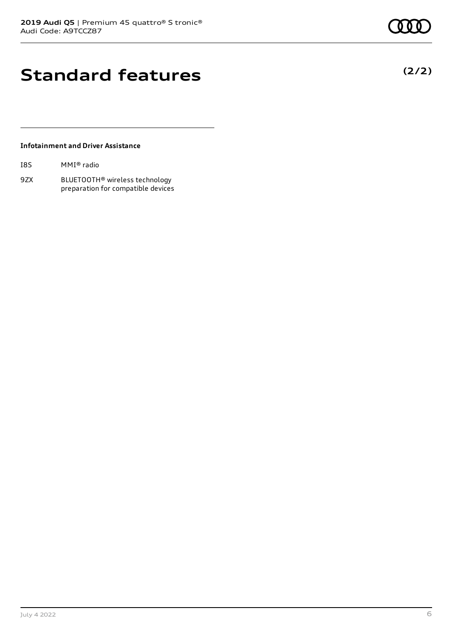# **Standard features**

### **Infotainment and Driver Assistance**

| I8S | MMI® radio |  |
|-----|------------|--|
|-----|------------|--|

9ZX BLUETOOTH® wireless technology preparation for compatible devices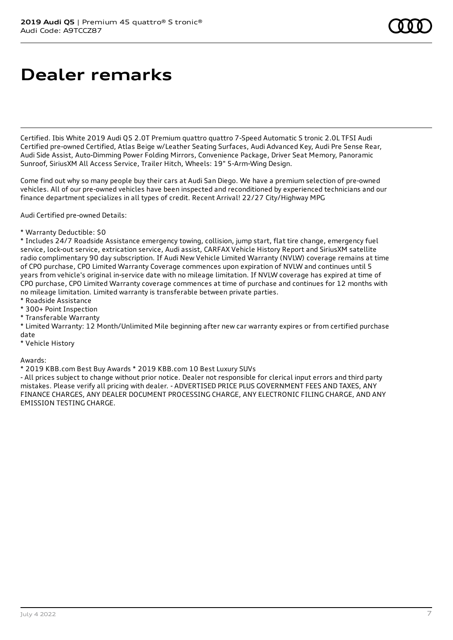# **Dealer remarks**

Certified. Ibis White 2019 Audi Q5 2.0T Premium quattro quattro 7-Speed Automatic S tronic 2.0L TFSI Audi Certified pre-owned Certified, Atlas Beige w/Leather Seating Surfaces, Audi Advanced Key, Audi Pre Sense Rear, Audi Side Assist, Auto-Dimming Power Folding Mirrors, Convenience Package, Driver Seat Memory, Panoramic Sunroof, SiriusXM All Access Service, Trailer Hitch, Wheels: 19" 5-Arm-Wing Design.

Come find out why so many people buy their cars at Audi San Diego. We have a premium selection of pre-owned vehicles. All of our pre-owned vehicles have been inspected and reconditioned by experienced technicians and our finance department specializes in all types of credit. Recent Arrival! 22/27 City/Highway MPG

Audi Certified pre-owned Details:

\* Warranty Deductible: \$0

\* Includes 24/7 Roadside Assistance emergency towing, collision, jump start, flat tire change, emergency fuel service, lock-out service, extrication service, Audi assist, CARFAX Vehicle History Report and SiriusXM satellite radio complimentary 90 day subscription. If Audi New Vehicle Limited Warranty (NVLW) coverage remains at time of CPO purchase, CPO Limited Warranty Coverage commences upon expiration of NVLW and continues until 5 years from vehicle's original in-service date with no mileage limitation. If NVLW coverage has expired at time of CPO purchase, CPO Limited Warranty coverage commences at time of purchase and continues for 12 months with no mileage limitation. Limited warranty is transferable between private parties.

- \* Roadside Assistance
- \* 300+ Point Inspection
- \* Transferable Warranty

\* Limited Warranty: 12 Month/Unlimited Mile beginning after new car warranty expires or from certified purchase date

\* Vehicle History

Awards:

\* 2019 KBB.com Best Buy Awards \* 2019 KBB.com 10 Best Luxury SUVs

- All prices subject to change without prior notice. Dealer not responsible for clerical input errors and third party mistakes. Please verify all pricing with dealer. - ADVERTISED PRICE PLUS GOVERNMENT FEES AND TAXES, ANY FINANCE CHARGES, ANY DEALER DOCUMENT PROCESSING CHARGE, ANY ELECTRONIC FILING CHARGE, AND ANY EMISSION TESTING CHARGE.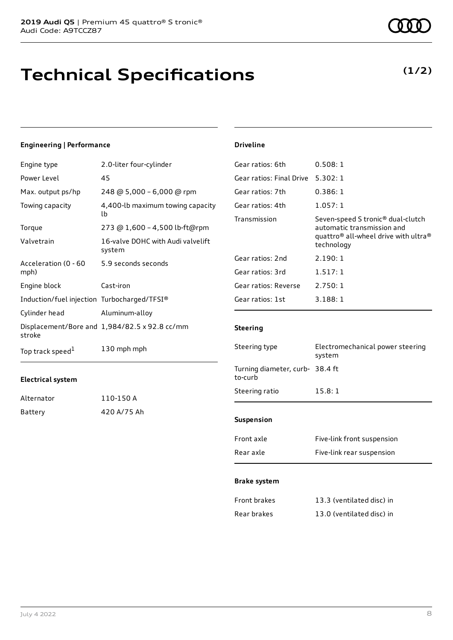# **Technical Specifications**

### **(1/2)**

### **Engineering | Performance**

| Engine type                                 | 2.0-liter four-cylinder                       |
|---------------------------------------------|-----------------------------------------------|
| Power Level                                 | 45                                            |
| Max. output ps/hp                           | 248 @ 5,000 - 6,000 @ rpm                     |
| Towing capacity                             | 4,400-lb maximum towing capacity<br>lb        |
| Torque                                      | 273 @ 1,600 - 4,500 lb-ft@rpm                 |
| Valvetrain                                  | 16-valve DOHC with Audi valvelift<br>system   |
| Acceleration (0 - 60<br>mph)                | 5.9 seconds seconds                           |
| Engine block                                | Cast-iron                                     |
| Induction/fuel injection Turbocharged/TFSI® |                                               |
| Cylinder head                               | Aluminum-alloy                                |
| stroke                                      | Displacement/Bore and 1,984/82.5 x 92.8 cc/mm |
| Top track speed <sup>1</sup>                | 130 mph mph                                   |

### **Electrical system**

| Alternator | 110-150 A   |
|------------|-------------|
| Battery    | 420 A/75 Ah |

#### **Driveline**

| Gear ratios: 6th         | 0.508:1                                                                                                                                                   |
|--------------------------|-----------------------------------------------------------------------------------------------------------------------------------------------------------|
| Gear ratios: Final Drive | 5.302:1                                                                                                                                                   |
| Gear ratios: 7th         | 0.386:1                                                                                                                                                   |
| Gear ratios: 4th         | 1.057:1                                                                                                                                                   |
| Transmission             | Seven-speed S tronic <sup>®</sup> dual-clutch<br>automatic transmission and<br>quattro <sup>®</sup> all-wheel drive with ultra <sup>®</sup><br>technology |
| Gear ratios: 2nd         | 2.190:1                                                                                                                                                   |
| Gear ratios: 3rd         | 1.517:1                                                                                                                                                   |
| Gear ratios: Reverse     | 2.750:1                                                                                                                                                   |
| Gear ratios: 1st         | 3.188:1                                                                                                                                                   |
|                          |                                                                                                                                                           |

### **Steering**

| <b>Suspension</b>                         |                                            |  |
|-------------------------------------------|--------------------------------------------|--|
| Steering ratio                            | 15.8:1                                     |  |
| Turning diameter, curb-38.4 ft<br>to-curb |                                            |  |
| Steering type                             | Electromechanical power steering<br>system |  |

| Front axle | Five-link front suspension |
|------------|----------------------------|
| Rear axle  | Five-link rear suspension  |

### **Brake system**

| Front brakes | 13.3 (ventilated disc) in |
|--------------|---------------------------|
| Rear brakes  | 13.0 (ventilated disc) in |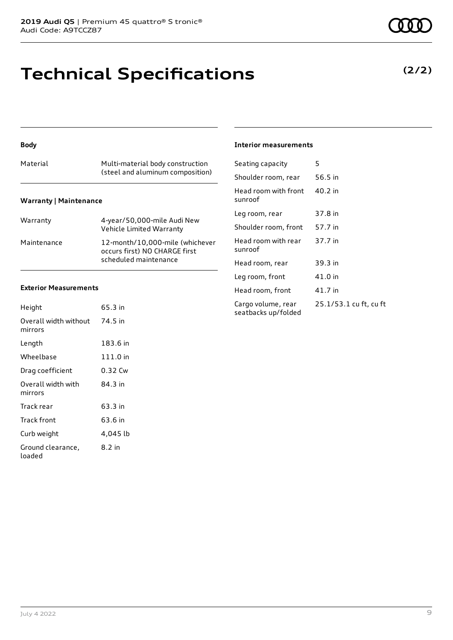## **Technical Specifications**

| Material               | Multi-material body construction<br>(steel and aluminum composition)                      |
|------------------------|-------------------------------------------------------------------------------------------|
| Warranty   Maintenance |                                                                                           |
| Warranty               | 4-year/50,000-mile Audi New<br>Vehicle Limited Warranty                                   |
| Maintenance            | 12-month/10,000-mile (whichever<br>occurs first) NO CHARGE first<br>scheduled maintenance |

### **Exterior Measurements**

**Body**

| Height                           | 65.3 in  |
|----------------------------------|----------|
| Overall width without<br>mirrors | 74.5 in  |
| Length                           | 183.6 in |
| Wheelbase                        | 111.0 in |
| Drag coefficient                 | 0.32 Cw  |
| Overall width with<br>mirrors    | 84.3 in  |
| Track rear                       | 63.3 in  |
| Track front                      | 63.6 in  |
| Curb weight                      | 4,045 lb |
| Ground clearance,<br>loaded      | 8.2 in   |

#### **Interior measurements**

| Seating capacity                          | 5                      |
|-------------------------------------------|------------------------|
| Shoulder room, rear                       | 56.5 in                |
| Head room with front<br>sunroof           | 40.2 in                |
| Leg room, rear                            | 37.8 in                |
| Shoulder room, front                      | 57.7 in                |
| Head room with rear<br>sunroof            | 37.7 in                |
| Head room, rear                           | 39.3 in                |
| Leg room, front                           | 41.0 in                |
| Head room, front                          | 41.7 in                |
| Cargo volume, rear<br>seatbacks up/folded | 25.1/53.1 cu ft, cu ft |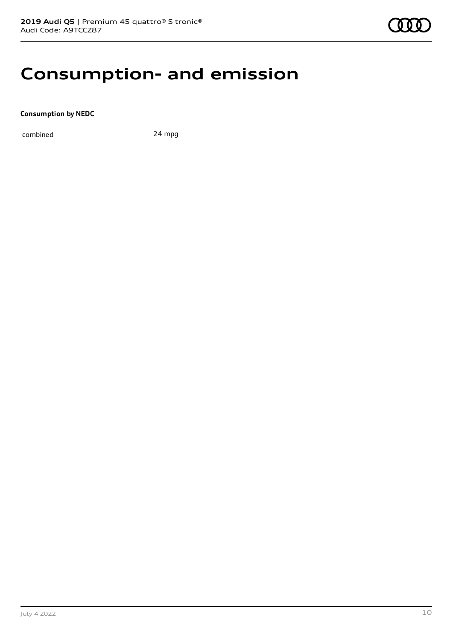### **Consumption- and emission**

**Consumption by NEDC**

combined 24 mpg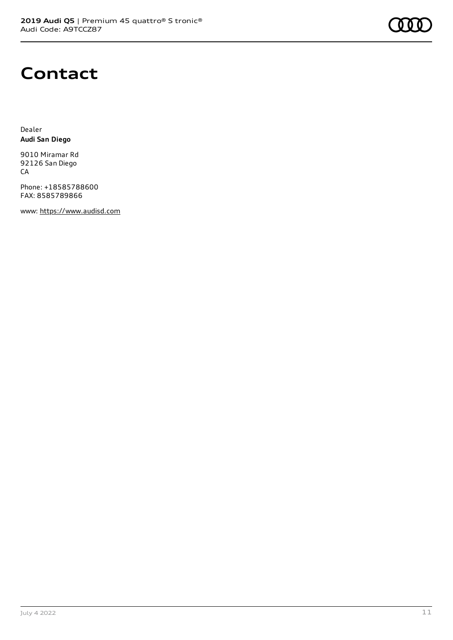

## **Contact**

Dealer **Audi San Diego**

9010 Miramar Rd 92126 San Diego CA

Phone: +18585788600 FAX: 8585789866

www: [https://www.audisd.com](https://www.audisd.com/)